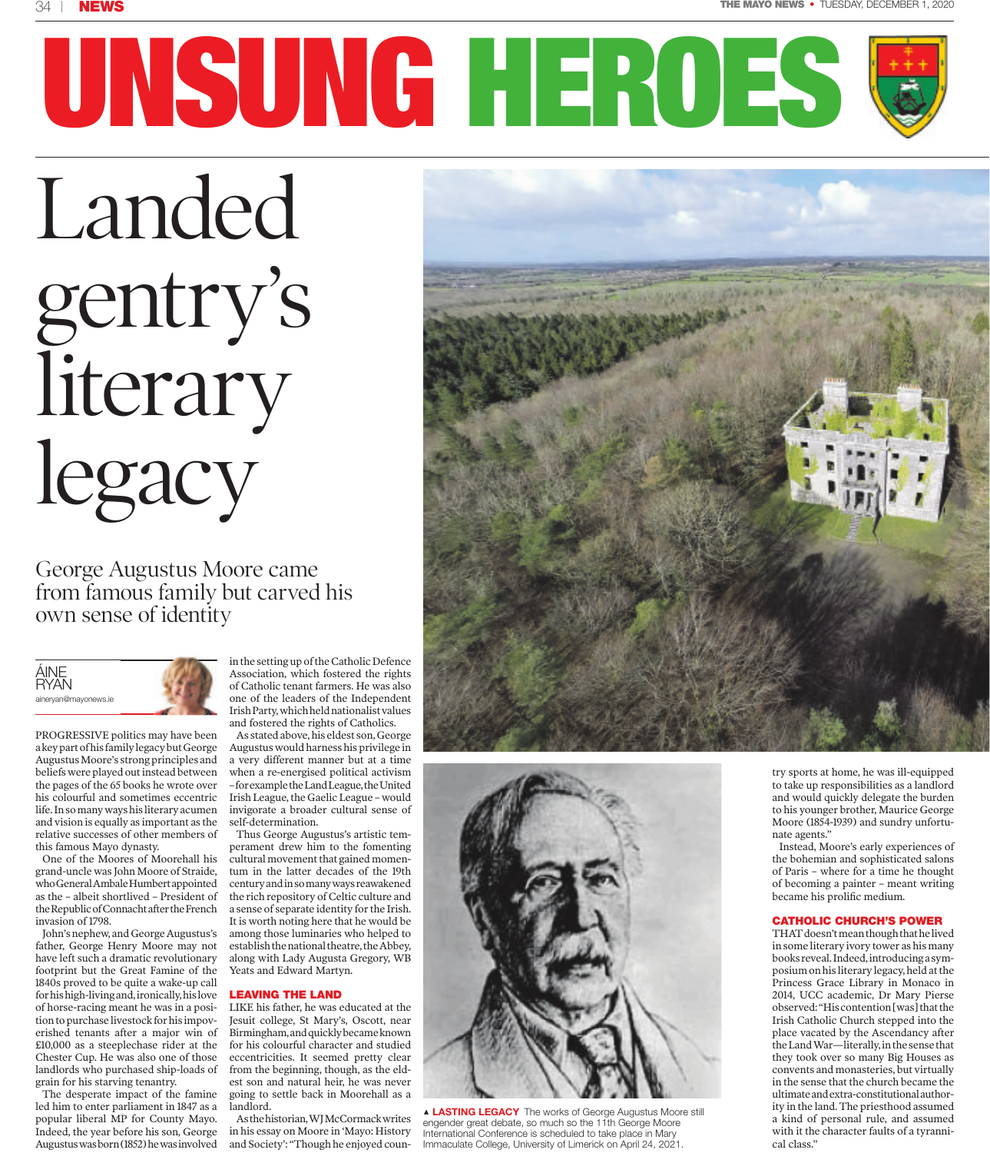# **UNSUNG HEROES**

Landed gentry's literary legacy

George Augustus Moore came from famous family but carved his own sense of identity

### ÁINE RYAN aineryan@mayonews.ie

PROGRESSIVE politics may have been a key part of his family legacy but George Augustus Moore's strong principles and beliefs were played out instead between the pages of the 65 books he wrote over his colourful and sometimes eccentric life. In so many ways his literary acumen and vision is equally as important as the relative successes of other members of this famous Mayo dynasty.

One of the Moores of Moorehall his grand-uncle was John Moore of Straide, who General Ambale Humbert appointed as the – albeit shortlived – President of the Republic of Connacht after the French invasion of 1798.

John's nephew, and George Augustus's father, George Henry Moore may not have left such a dramatic revolutionary footprint but the Great Famine of the 1840s proved to be quite a wake-up call for his high-living and, ironically, his love of horse-racing meant he was in a position to purchase livestock for his impoverished tenants after a major win of £10,000 as a steeplechase rider at the Chester Cup. He was also one of those landlords who purchased ship-loads of grain for his starving tenantry.

The desperate impact of the famine led him to enter parliament in 1847 as a popular liberal MP for County Mayo. Indeed, the year before his son, George Augustus was born (1852) he was involved

in the setting up of the Catholic Defence Association, which fostered the rights of Catholic tenant farmers. He was also one of the leaders of the Independent Irish Party, which held nationalist values and fostered the rights of Catholics.

As stated above, his eldest son, George Augustus would harness his privilege in a very different manner but at a time when a re-energised political activism – for example the Land League, the United Irish League, the Gaelic League – would invigorate a broader cultural sense of self-determination.

Thus George Augustus's artistic temperament drew him to the fomenting cultural movement that gained momentum in the latter decades of the 19th century and in so many ways reawakened the rich repository of Celtic culture and a sense of separate identity for the Irish. It is worth noting here that he would be among those luminaries who helped to establish the national theatre, the Abbey, along with Lady Augusta Gregory, WB Yeats and Edward Martyn.

### **LEAVING THE LAND**

LIKE his father, he was educated at the Jesuit college, St Mary's, Oscott, near Birmingham, and quickly became known for his colourful character and studied eccentricities. It seemed pretty clear from the beginning, though, as the eldest son and natural heir, he was never going to settle back in Moorehall as a landlord.

As the historian, WJ McCormack writes in his essay on Moore in 'Mayo: History and Society': "Though he enjoyed coun-





y **LASTING LEGACY** The works of George Augustus Moore still engender great debate, so much so the 11th George Moore International Conference is scheduled to take place in Mary Immaculate College, University of Limerick on April 24, 2021.

try sports at home, he was ill-equipped to take up responsibilities as a landlord and would quickly delegate the burden to his younger brother, Maurice George Moore (1854-1939) and sundry unfortunate agents."

Instead, Moore's early experiences of the bohemian and sophisticated salons of Paris – where for a time he thought of becoming a painter – meant writing became his prolific medium.

### **CATHOLIC CHURCH'S POWER**

THAT doesn't mean though that he lived in some literary ivory tower as his many books reveal. Indeed, introducing a symposium on his literary legacy, held at the Princess Grace Library in Monaco in 2014, UCC academic, Dr Mary Pierse observed: "His contention [was] that the Irish Catholic Church stepped into the place vacated by the Ascendancy after the Land War—literally, in the sense that they took over so many Big Houses as convents and monasteries, but virtually in the sense that the church became the ultimate and extra-constitutional authority in the land. The priesthood assumed a kind of personal rule, and assumed with it the character faults of a tyrannical class."